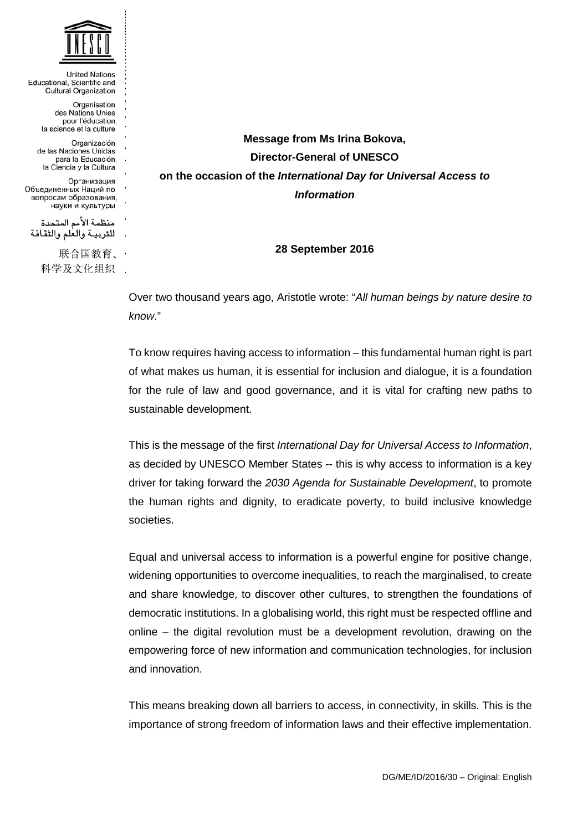

| <b>United Nations</b><br>Educational, Scientific and<br><b>Cultural Organization</b>    |        |
|-----------------------------------------------------------------------------------------|--------|
| Organisation<br>des Nations Unies<br>pour l'éducation,<br>la science et la culture      | :      |
| Organización<br>de las Naciones Unidas<br>para la Educación,<br>la Ciencia y la Cultura | ٠<br>٠ |
| Организация<br>Объединенных Наций по<br>вопросам образования,<br>науки и культуры       |        |
| منظمة الأمم المتحدة<br>للتربية والعلم والثقافة                                          |        |
| 联合国教育、<br>科学及文化组织                                                                       |        |

**Message from Ms Irina Bokova, Director-General of UNESCO on the occasion of the** *International Day for Universal Access to Information*

**28 September 2016**

Over two thousand years ago, Aristotle wrote: "*All human beings by nature desire to know*."

To know requires having access to information – this fundamental human right is part of what makes us human, it is essential for inclusion and dialogue, it is a foundation for the rule of law and good governance, and it is vital for crafting new paths to sustainable development.

This is the message of the first *International Day for Universal Access to Information*, as decided by UNESCO Member States -- this is why access to information is a key driver for taking forward the *2030 Agenda for Sustainable Development*, to promote the human rights and dignity, to eradicate poverty, to build inclusive knowledge societies.

Equal and universal access to information is a powerful engine for positive change, widening opportunities to overcome inequalities, to reach the marginalised, to create and share knowledge, to discover other cultures, to strengthen the foundations of democratic institutions. In a globalising world, this right must be respected offline and online – the digital revolution must be a development revolution, drawing on the empowering force of new information and communication technologies, for inclusion and innovation.

This means breaking down all barriers to access, in connectivity, in skills. This is the importance of strong freedom of information laws and their effective implementation.